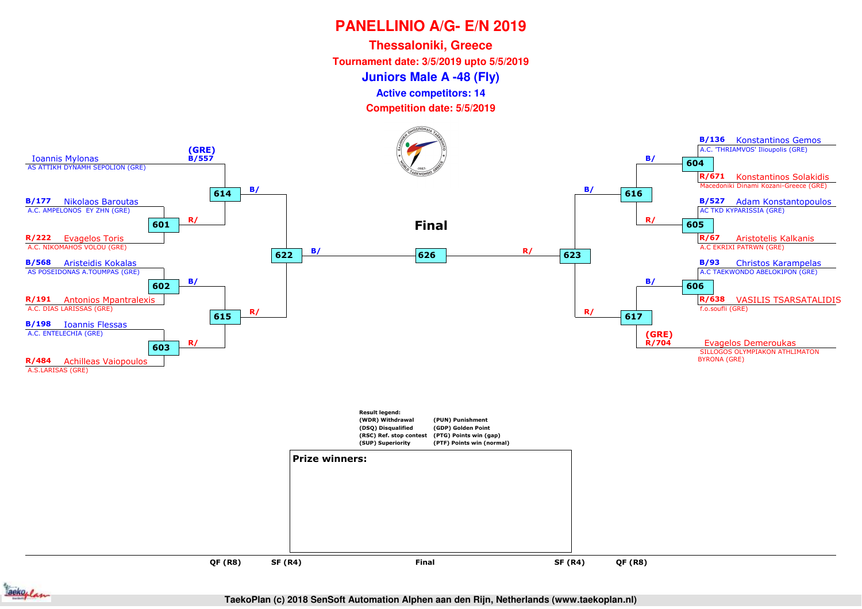**Juniors Male A -48 (Fly)Thessaloniki, Greece Tournament date: 3/5/2019 upto 5/5/2019Competition date: 5/5/2019 Active competitors: 14**





**TaekoPlan (c) 2018 SenSoft Automation Alphen aan den Rijn, Netherlands (www.taekoplan.nl)**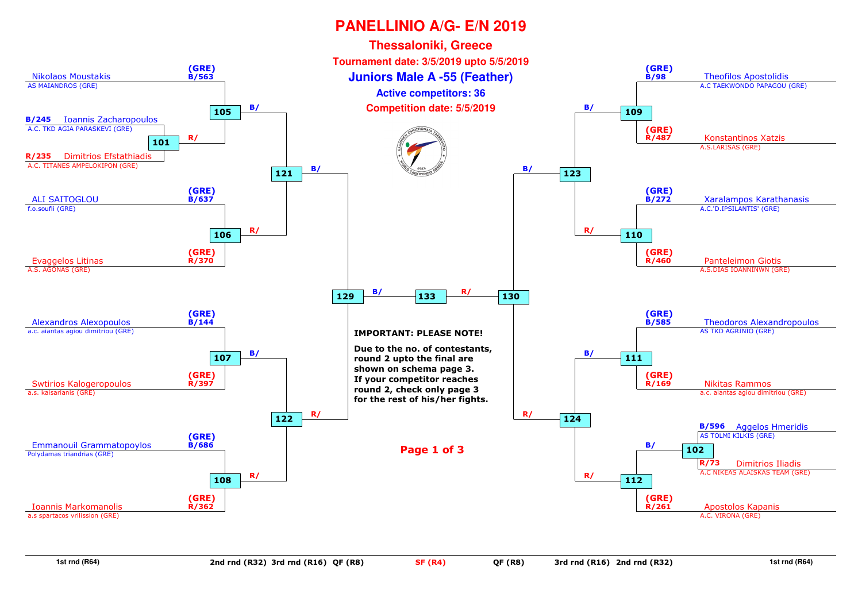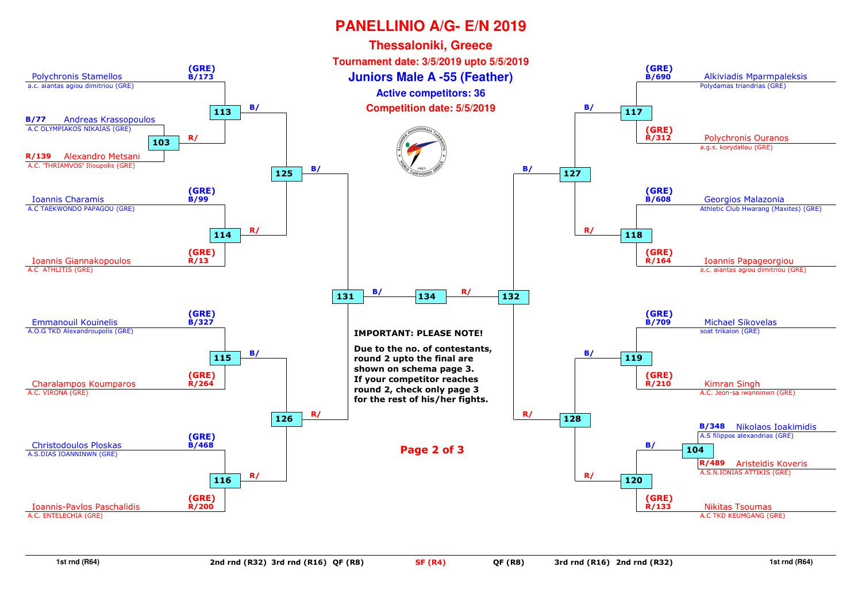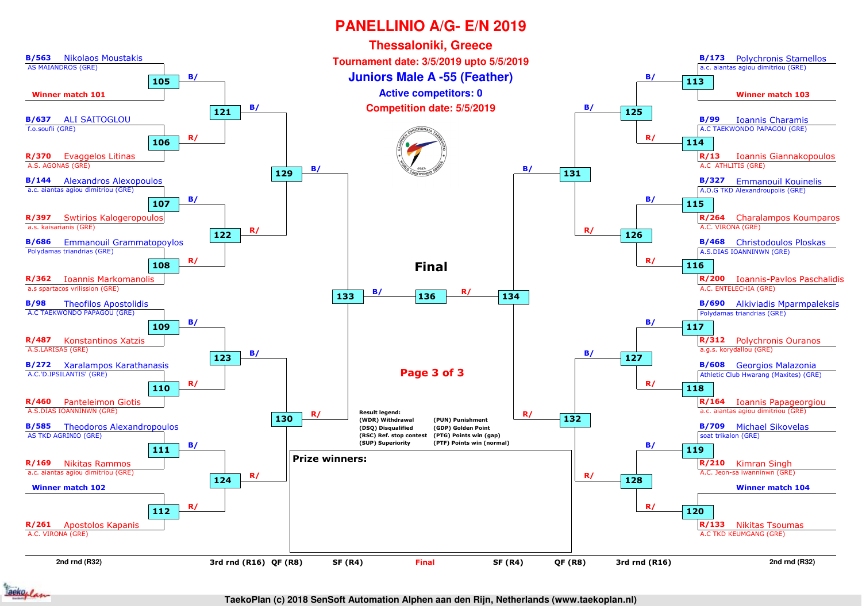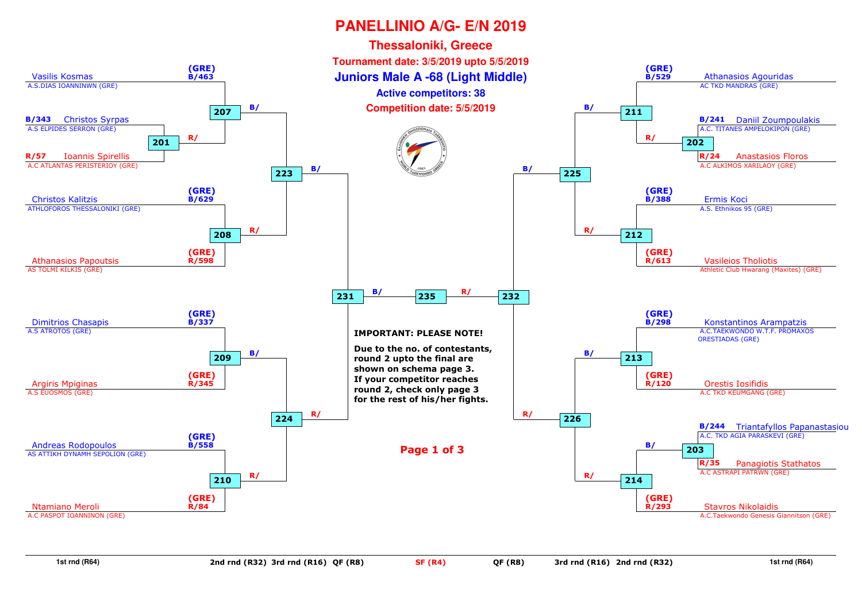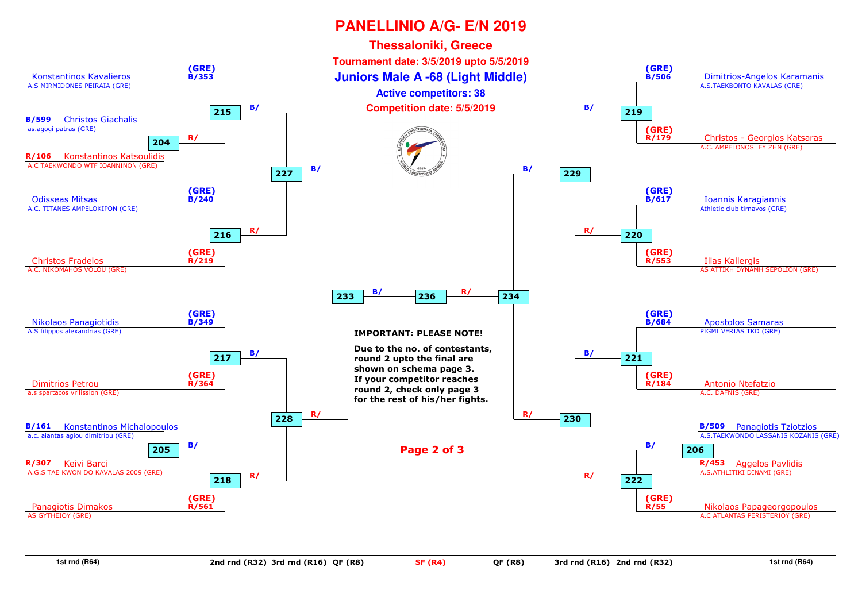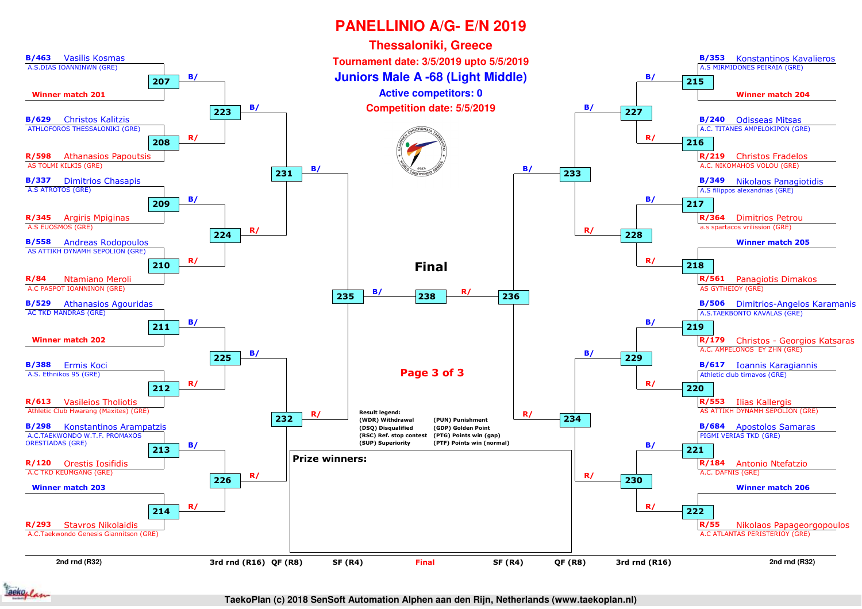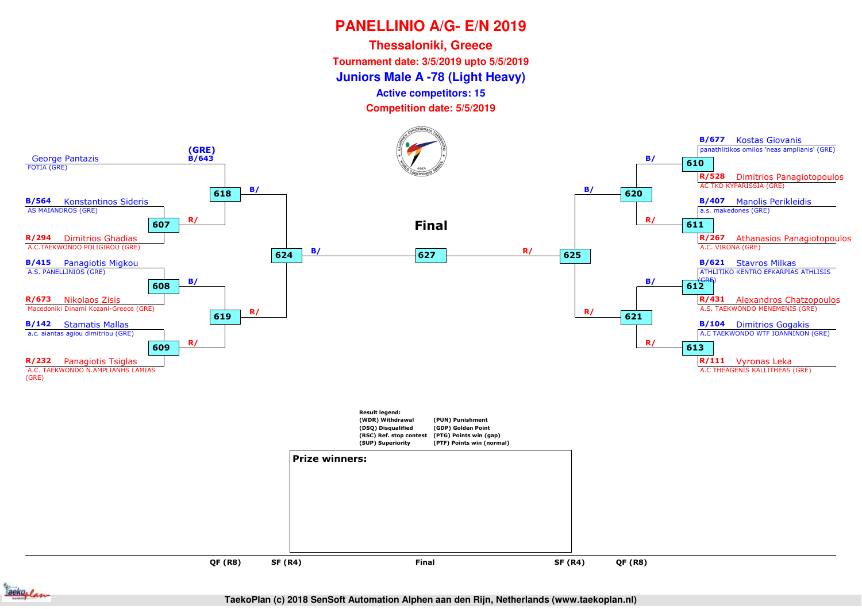**Juniors Male A -78 (Light Heavy) Thessaloniki, GreeceTournament date: 3/5/2019 upto 5/5/2019**

**Active competitors: 15**

**Competition date: 5/5/2019**



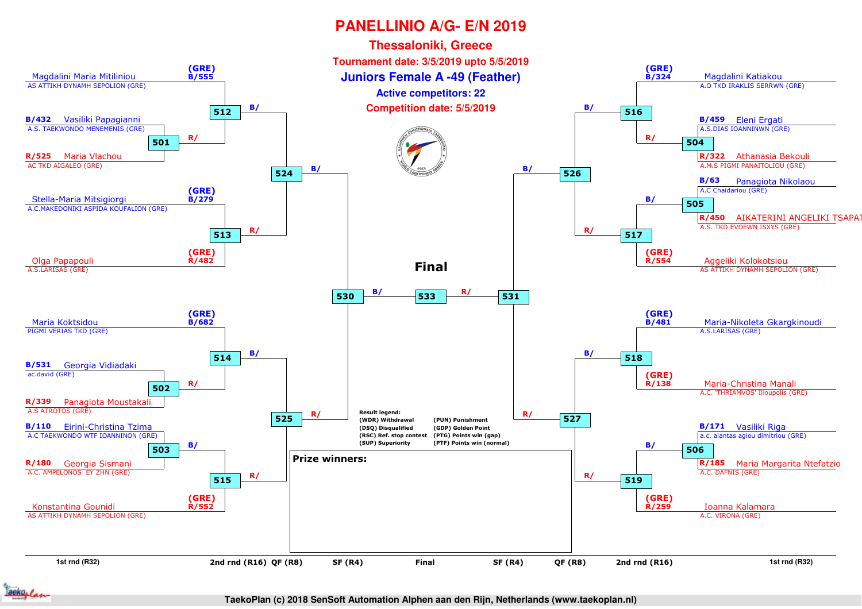

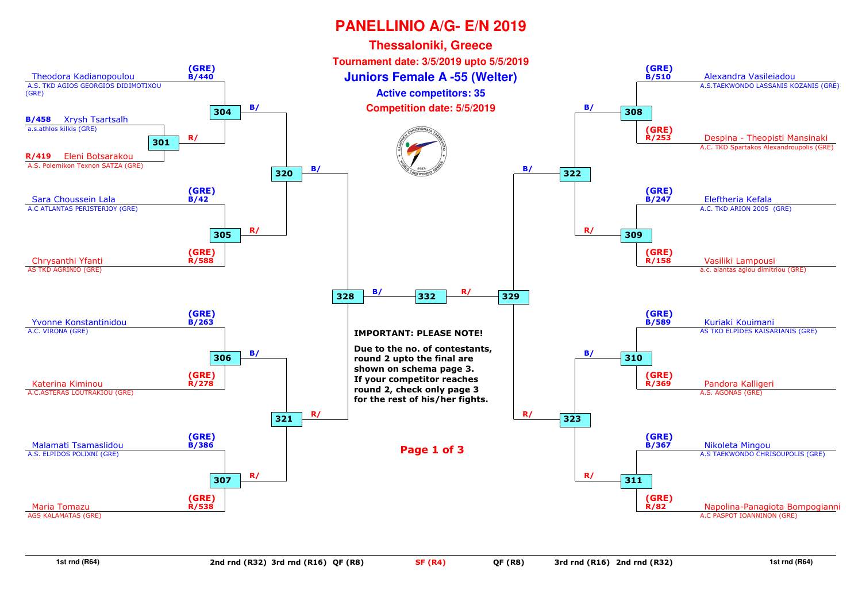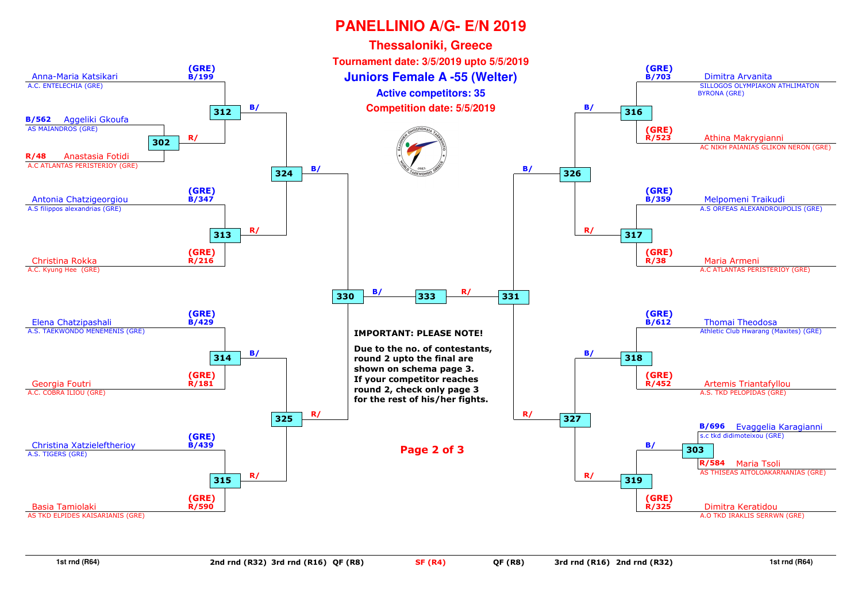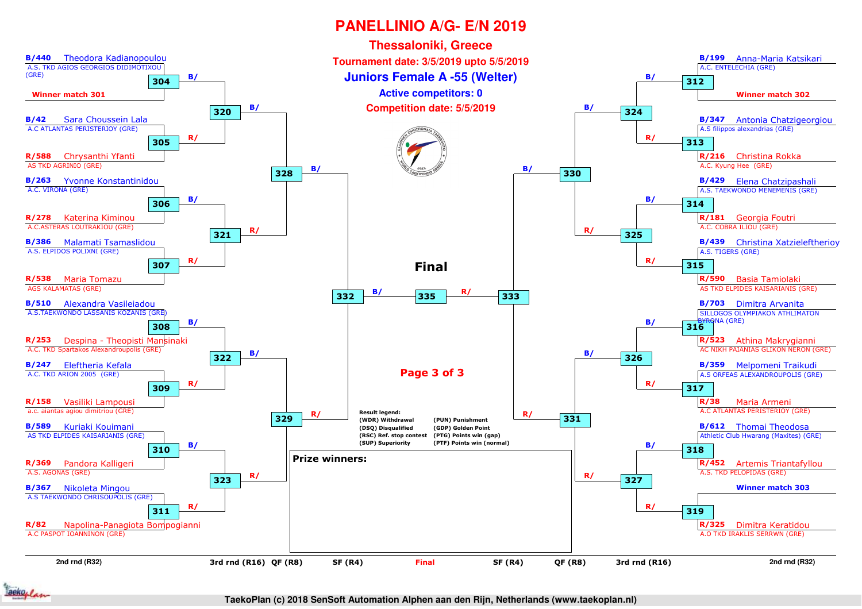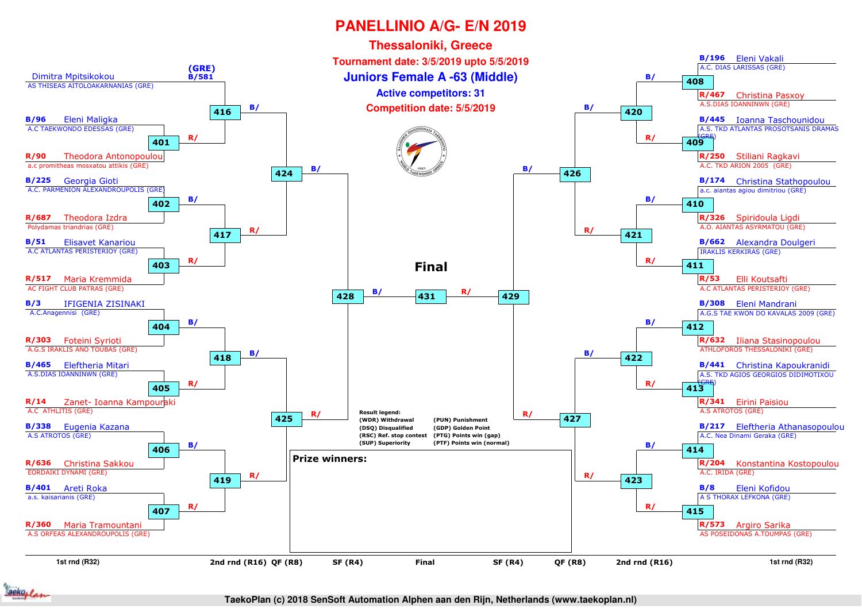